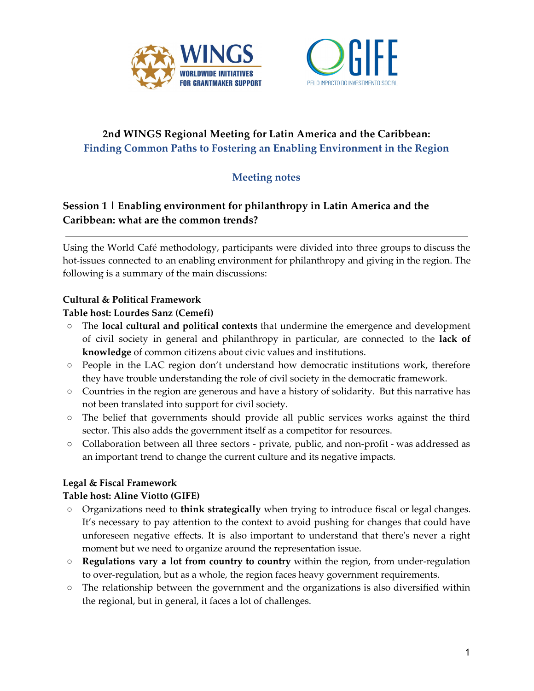



# **2nd WINGS Regional Meeting for Latin America and the Caribbean: Finding Common Paths to Fostering an Enabling Environment in the Region**

# **Meeting notes**

# **Session 1 | Enabling environment for philanthropy in Latin America and the Caribbean: what are the common trends?**

Using the World Café methodology, participants were divided into three groups to discuss the hot-issues connected to an enabling environment for philanthropy and giving in the region. The following is a summary of the main discussions:

### **Cultural & Political Framework**

#### **Table host: Lourdes Sanz (Cemefi)**

- The **local cultural and political contexts** that undermine the emergence and development of civil society in general and philanthropy in particular, are connected to the **lack of knowledge** of common citizens about civic values and institutions.
- People in the LAC region don't understand how democratic institutions work, therefore they have trouble understanding the role of civil society in the democratic framework.
- Countries in the region are generous and have a history of solidarity. But this narrative has not been translated into support for civil society.
- The belief that governments should provide all public services works against the third sector. This also adds the government itself as a competitor for resources.
- Collaboration between all three sectors private, public, and non-profit was addressed as an important trend to change the current culture and its negative impacts.

#### **Legal & Fiscal Framework**

#### **Table host: Aline Viotto (GIFE)**

- Organizations need to **think strategically** when trying to introduce fiscal or legal changes. It's necessary to pay attention to the context to avoid pushing for changes that could have unforeseen negative effects. It is also important to understand that there's never a right moment but we need to organize around the representation issue.
- **Regulations vary a lot from country to country** within the region, from under-regulation to over-regulation, but as a whole, the region faces heavy government requirements.
- $\circ$  The relationship between the government and the organizations is also diversified within the regional, but in general, it faces a lot of challenges.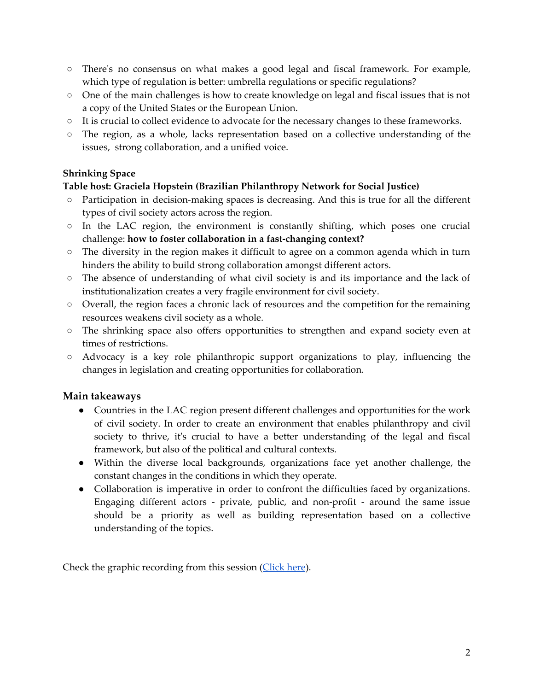- There's no consensus on what makes a good legal and fiscal framework. For example, which type of regulation is better: umbrella regulations or specific regulations?
- One of the main challenges is how to create knowledge on legal and fiscal issues that is not a copy of the United States or the European Union.
- It is crucial to collect evidence to advocate for the necessary changes to these frameworks.
- The region, as a whole, lacks representation based on a collective understanding of the issues, strong collaboration, and a unified voice.

#### **Shrinking Space**

### **Table host: Graciela Hopstein (Brazilian Philanthropy Network for Social Justice)**

- Participation in decision-making spaces is decreasing. And this is true for all the different types of civil society actors across the region.
- In the LAC region, the environment is constantly shifting, which poses one crucial challenge: **how to foster collaboration in a fast-changing context?**
- The diversity in the region makes it difficult to agree on a common agenda which in turn hinders the ability to build strong collaboration amongst different actors.
- The absence of understanding of what civil society is and its importance and the lack of institutionalization creates a very fragile environment for civil society.
- Overall, the region faces a chronic lack of resources and the competition for the remaining resources weakens civil society as a whole.
- The shrinking space also offers opportunities to strengthen and expand society even at times of restrictions.
- Advocacy is a key role philanthropic support organizations to play, influencing the changes in legislation and creating opportunities for collaboration.

## **Main takeaways**

- Countries in the LAC region present different challenges and opportunities for the work of civil society. In order to create an environment that enables philanthropy and civil society to thrive, it's crucial to have a better understanding of the legal and fiscal framework, but also of the political and cultural contexts.
- Within the diverse local backgrounds, organizations face yet another challenge, the constant changes in the conditions in which they operate.
- Collaboration is imperative in order to confront the difficulties faced by organizations. Engaging different actors - private, public, and non-profit - around the same issue should be a priority as well as building representation based on a collective understanding of the topics.

Check the graphic recording from this session ([Click](https://drive.google.com/file/d/1DBqd-OFPmxC2CCP7PMfrPMFZTrjJQUPk/view?usp=sharing) here).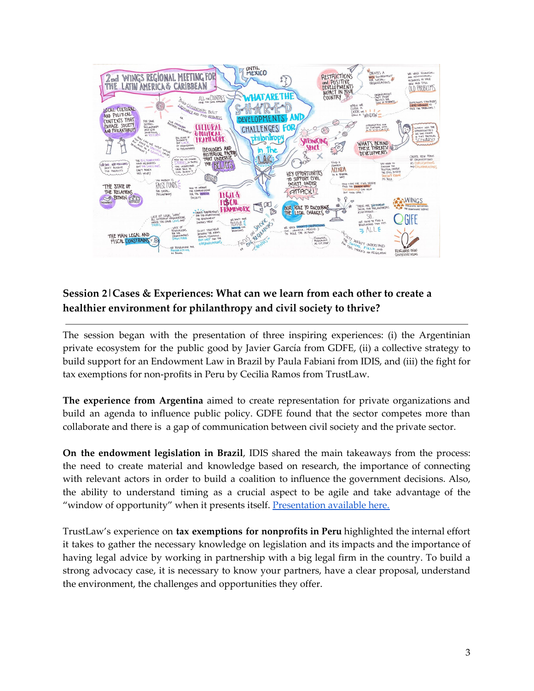

# **Session 2|Cases & Experiences: What can we learn from each other to create a healthier environment for philanthropy and civil society to thrive?**

The session began with the presentation of three inspiring experiences: (i) the Argentinian private ecosystem for the public good by Javier García from GDFE, (ii) a collective strategy to build support for an Endowment Law in Brazil by Paula Fabiani from IDIS, and (iii) the fight for tax exemptions for non-profits in Peru by Cecilia Ramos from TrustLaw.

**The experience from Argentina** aimed to create representation for private organizations and build an agenda to influence public policy. GDFE found that the sector competes more than collaborate and there is a gap of communication between civil society and the private sector.

**On the endowment legislation in Brazil**, IDIS shared the main takeaways from the process: the need to create material and knowledge based on research, the importance of connecting with relevant actors in order to build a coalition to influence the government decisions. Also, the ability to understand timing as a crucial aspect to be agile and take advantage of the "window of opportunity" when it presents itself. [Presentation](https://drive.google.com/file/d/1Sldm1-9YX_2yOjddJGYRWjPKjF_0ZOfj/view?usp=sharing) available here.

TrustLaw's experience on **tax exemptions for nonprofits in Peru** highlighted the internal effort it takes to gather the necessary knowledge on legislation and its impacts and the importance of having legal advice by working in partnership with a big legal firm in the country. To build a strong advocacy case, it is necessary to know your partners, have a clear proposal, understand the environment, the challenges and opportunities they offer.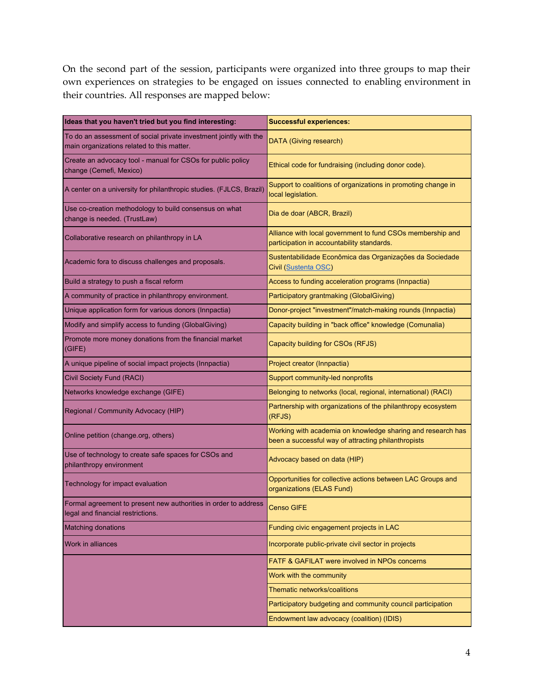On the second part of the session, participants were organized into three groups to map their own experiences on strategies to be engaged on issues connected to enabling environment in their countries. All responses are mapped below:

| Ideas that you haven't tried but you find interesting:                                                          | <b>Successful experiences:</b>                                                                                     |
|-----------------------------------------------------------------------------------------------------------------|--------------------------------------------------------------------------------------------------------------------|
| To do an assessment of social private investment jointly with the<br>main organizations related to this matter. | DATA (Giving research)                                                                                             |
| Create an advocacy tool - manual for CSOs for public policy<br>change (Cemefi, Mexico)                          | Ethical code for fundraising (including donor code).                                                               |
| A center on a university for philanthropic studies. (FJLCS, Brazil)                                             | Support to coalitions of organizations in promoting change in<br>local legislation.                                |
| Use co-creation methodology to build consensus on what<br>change is needed. (TrustLaw)                          | Dia de doar (ABCR, Brazil)                                                                                         |
| Collaborative research on philanthropy in LA                                                                    | Alliance with local government to fund CSOs membership and<br>participation in accountability standards.           |
| Academic fora to discuss challenges and proposals.                                                              | Sustentabilidade Econômica das Organizações da Sociedade<br>Civil (Sustenta OSC)                                   |
| Build a strategy to push a fiscal reform                                                                        | Access to funding acceleration programs (Innpactia)                                                                |
| A community of practice in philanthropy environment.                                                            | Participatory grantmaking (GlobalGiving)                                                                           |
| Unique application form for various donors (Innpactia)                                                          | Donor-project "investment"/match-making rounds (Innpactia)                                                         |
| Modify and simplify access to funding (GlobalGiving)                                                            | Capacity building in "back office" knowledge (Comunalia)                                                           |
| Promote more money donations from the financial market<br>(GIFE)                                                | Capacity building for CSOs (RFJS)                                                                                  |
| A unique pipeline of social impact projects (Innpactia)                                                         | Project creator (Innpactia)                                                                                        |
| Civil Society Fund (RACI)                                                                                       | Support community-led nonprofits                                                                                   |
| Networks knowledge exchange (GIFE)                                                                              | Belonging to networks (local, regional, international) (RACI)                                                      |
| Regional / Community Advocacy (HIP)                                                                             | Partnership with organizations of the philanthropy ecosystem<br>(RFJS)                                             |
| Online petition (change.org, others)                                                                            | Working with academia on knowledge sharing and research has<br>been a successful way of attracting philanthropists |
| Use of technology to create safe spaces for CSOs and<br>philanthropy environment                                | Advocacy based on data (HIP)                                                                                       |
| Technology for impact evaluation                                                                                | Opportunities for collective actions between LAC Groups and<br>organizations (ELAS Fund)                           |
| Formal agreement to present new authorities in order to address<br>legal and financial restrictions.            | Censo GIFE                                                                                                         |
| <b>Matching donations</b>                                                                                       | Funding civic engagement projects in LAC                                                                           |
| <b>Work in alliances</b>                                                                                        | Incorporate public-private civil sector in projects                                                                |
|                                                                                                                 | FATF & GAFILAT were involved in NPOs concerns                                                                      |
|                                                                                                                 | Work with the community                                                                                            |
|                                                                                                                 | Thematic networks/coalitions                                                                                       |
|                                                                                                                 | Participatory budgeting and community council participation                                                        |
|                                                                                                                 | Endowment law advocacy (coalition) (IDIS)                                                                          |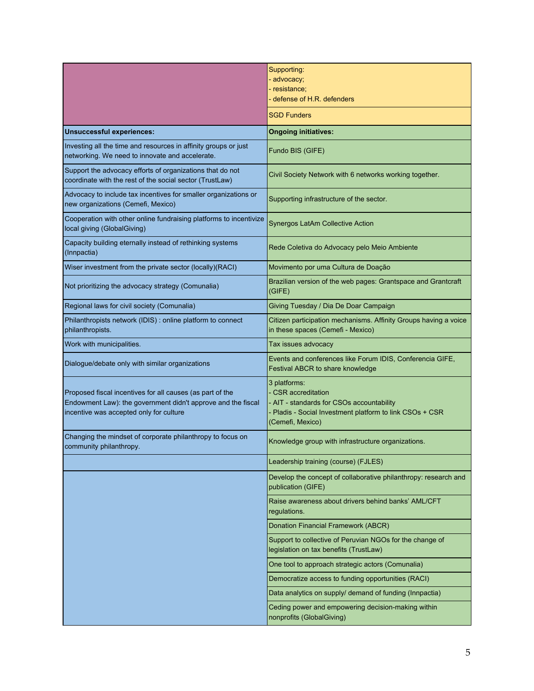|                                                                                                                                                                      | Supporting:<br>- advocacy;<br>- resistance;<br>- defense of H.R. defenders                                                                                     |
|----------------------------------------------------------------------------------------------------------------------------------------------------------------------|----------------------------------------------------------------------------------------------------------------------------------------------------------------|
|                                                                                                                                                                      | <b>SGD Funders</b>                                                                                                                                             |
| <b>Unsuccessful experiences:</b>                                                                                                                                     | <b>Ongoing initiatives:</b>                                                                                                                                    |
| Investing all the time and resources in affinity groups or just<br>networking. We need to innovate and accelerate.                                                   | Fundo BIS (GIFE)                                                                                                                                               |
| Support the advocacy efforts of organizations that do not<br>coordinate with the rest of the social sector (TrustLaw)                                                | Civil Society Network with 6 networks working together.                                                                                                        |
| Advocacy to include tax incentives for smaller organizations or<br>new organizations (Cemefi, Mexico)                                                                | Supporting infrastructure of the sector.                                                                                                                       |
| Cooperation with other online fundraising platforms to incentivize<br>local giving (GlobalGiving)                                                                    | <b>Synergos LatAm Collective Action</b>                                                                                                                        |
| Capacity building eternally instead of rethinking systems<br>(Innpactia)                                                                                             | Rede Coletiva do Advocacy pelo Meio Ambiente                                                                                                                   |
| Wiser investment from the private sector (locally)(RACI)                                                                                                             | Movimento por uma Cultura de Doação                                                                                                                            |
| Not prioritizing the advocacy strategy (Comunalia)                                                                                                                   | Brazilian version of the web pages: Grantspace and Grantcraft<br>(GIFE)                                                                                        |
| Regional laws for civil society (Comunalia)                                                                                                                          | Giving Tuesday / Dia De Doar Campaign                                                                                                                          |
| Philanthropists network (IDIS) : online platform to connect<br>philanthropists.                                                                                      | Citizen participation mechanisms. Affinity Groups having a voice<br>in these spaces (Cemefi - Mexico)                                                          |
| Work with municipalities.                                                                                                                                            | Tax issues advocacy                                                                                                                                            |
| Dialogue/debate only with similar organizations                                                                                                                      | Events and conferences like Forum IDIS, Conferencia GIFE,<br>Festival ABCR to share knowledge                                                                  |
| Proposed fiscal incentives for all causes (as part of the<br>Endowment Law): the government didn't approve and the fiscal<br>incentive was accepted only for culture | 3 platforms:<br>- CSR accreditation<br>- AIT - standards for CSOs accountability<br>Pladis - Social Investment platform to link CSOs + CSR<br>(Cemefi, Mexico) |
| Changing the mindset of corporate philanthropy to focus on<br>community philanthropy.                                                                                | Knowledge group with infrastructure organizations.                                                                                                             |
|                                                                                                                                                                      | Leadership training (course) (FJLES)                                                                                                                           |
|                                                                                                                                                                      | Develop the concept of collaborative philanthropy: research and<br>publication (GIFE)                                                                          |
|                                                                                                                                                                      | Raise awareness about drivers behind banks' AML/CFT<br>regulations.                                                                                            |
|                                                                                                                                                                      | Donation Financial Framework (ABCR)                                                                                                                            |
|                                                                                                                                                                      | Support to collective of Peruvian NGOs for the change of<br>legislation on tax benefits (TrustLaw)                                                             |
|                                                                                                                                                                      | One tool to approach strategic actors (Comunalia)                                                                                                              |
|                                                                                                                                                                      | Democratize access to funding opportunities (RACI)                                                                                                             |
|                                                                                                                                                                      | Data analytics on supply/ demand of funding (Innpactia)                                                                                                        |
|                                                                                                                                                                      | Ceding power and empowering decision-making within<br>nonprofits (GlobalGiving)                                                                                |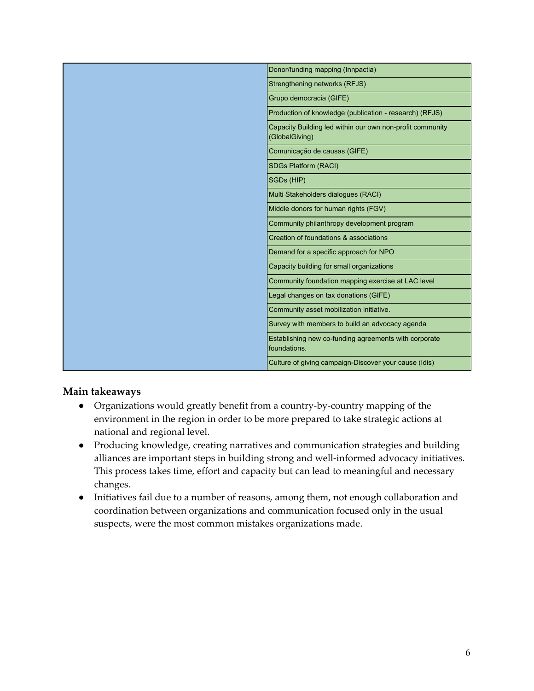| Donor/funding mapping (Innpactia)                                           |
|-----------------------------------------------------------------------------|
| Strengthening networks (RFJS)                                               |
| Grupo democracia (GIFE)                                                     |
| Production of knowledge (publication - research) (RFJS)                     |
| Capacity Building led within our own non-profit community<br>(GlobalGiving) |
| Comunicação de causas (GIFE)                                                |
| SDGs Platform (RACI)                                                        |
| SGDs (HIP)                                                                  |
| Multi Stakeholders dialogues (RACI)                                         |
| Middle donors for human rights (FGV)                                        |
| Community philanthropy development program                                  |
| Creation of foundations & associations                                      |
| Demand for a specific approach for NPO                                      |
| Capacity building for small organizations                                   |
| Community foundation mapping exercise at LAC level                          |
| Legal changes on tax donations (GIFE)                                       |
| Community asset mobilization initiative.                                    |
| Survey with members to build an advocacy agenda                             |
| Establishing new co-funding agreements with corporate<br>foundations.       |
| Culture of giving campaign-Discover your cause (Idis)                       |

## **Main takeaways**

- Organizations would greatly benefit from a country-by-country mapping of the environment in the region in order to be more prepared to take strategic actions at national and regional level.
- Producing knowledge, creating narratives and communication strategies and building alliances are important steps in building strong and well-informed advocacy initiatives. This process takes time, effort and capacity but can lead to meaningful and necessary changes.
- Initiatives fail due to a number of reasons, among them, not enough collaboration and coordination between organizations and communication focused only in the usual suspects, were the most common mistakes organizations made.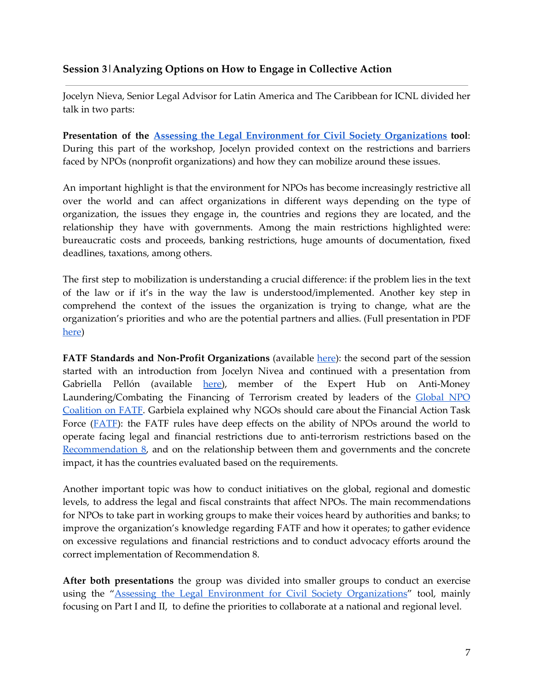## **Session 3|Analyzing Options on How to Engage in Collective Action**

Jocelyn Nieva, Senior Legal Advisor for Latin America and The Caribbean for ICNL divided her talk in two parts:

**Presentation of the Assessing the Legal Environment for Civil Society [Organizations](https://wings.issuelab.org/resource/assessing-the-legal-environment-for-civil-society-organizations.html) tool**: During this part of the workshop, Jocelyn provided context on the restrictions and barriers faced by NPOs (nonprofit organizations) and how they can mobilize around these issues.

An important highlight is that the environment for NPOs has become increasingly restrictive all over the world and can affect organizations in different ways depending on the type of organization, the issues they engage in, the countries and regions they are located, and the relationship they have with governments. Among the main restrictions highlighted were: bureaucratic costs and proceeds, banking restrictions, huge amounts of documentation, fixed deadlines, taxations, among others.

The first step to mobilization is understanding a crucial difference: if the problem lies in the text of the law or if it's in the way the law is understood/implemented. Another key step in comprehend the context of the issues the organization is trying to change, what are the organization's priorities and who are the potential partners and allies. (Full presentation in PDF [here](https://drive.google.com/file/d/1FHiebS3_1tPhuPZyK2ys1g9E66niVG7O/view?usp=sharing))

**FATF Standards and Non-Profit Organizations** (available [here](https://drive.google.com/file/d/1eTpjeeS4AAKVBHznHcEVpWhPIimZCE9F/view?usp=sharing)): the second part of the session started with an introduction from Jocelyn Nivea and continued with a presentation from Gabriella Pellón (available [here](https://drive.google.com/file/d/16ZRr3aRb4gvKjPaotUPdq3mmeIM8IYQK/view?usp=sharing)), member of the Expert Hub on Anti-Money Laundering/Combating the Financing of Terrorism created by leaders of the [Global](http://fatfplatform.org/) NPO [Coalition](http://fatfplatform.org/) on FATF. Garbiela explained why NGOs should care about the Financial Action Task Force (FATE): the FATF rules have deep effects on the ability of NPOs around the world to operate facing legal and financial restrictions due to anti-terrorism restrictions based on the [Recommendation](https://www.fatf-gafi.org/publications/fatfrecommendations/documents/bpp-combating-abuse-npo.html#:~:targetText=FATF%20Recommendation%208%20requires%20that,for%20the%20financing%20of%20terrorism.&targetText=FATF%20applauds%20the%20efforts%20of,in%20remote%20and%20difficult%20areas.) 8, and on the relationship between them and governments and the concrete impact, it has the countries evaluated based on the requirements.

Another important topic was how to conduct initiatives on the global, regional and domestic levels, to address the legal and fiscal constraints that affect NPOs. The main recommendations for NPOs to take part in working groups to make their voices heard by authorities and banks; to improve the organization's knowledge regarding FATF and how it operates; to gather evidence on excessive regulations and financial restrictions and to conduct advocacy efforts around the correct implementation of Recommendation 8.

**After both presentations** the group was divided into smaller groups to conduct an exercise using the "Assessing the Legal Environment for Civil Society [Organizations](https://wings.issuelab.org/resource/assessing-the-legal-environment-for-civil-society-organizations.html)" tool, mainly focusing on Part I and II, to define the priorities to collaborate at a national and regional level.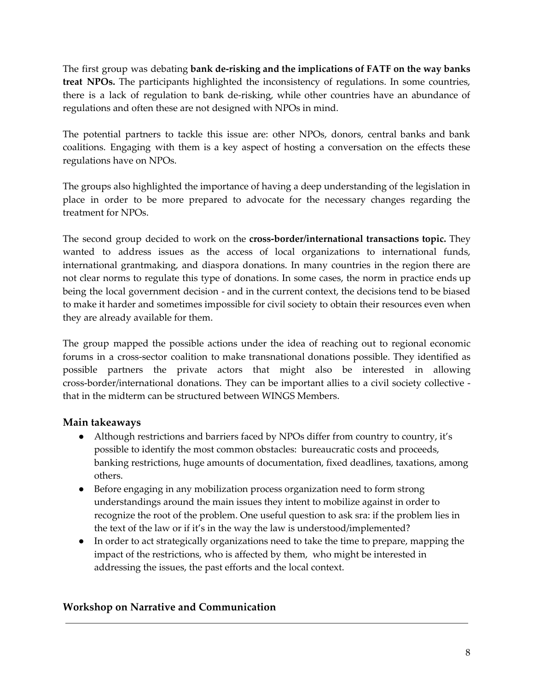The first group was debating **bank de-risking and the implications of FATF on the way banks treat NPOs.** The participants highlighted the inconsistency of regulations. In some countries, there is a lack of regulation to bank de-risking, while other countries have an abundance of regulations and often these are not designed with NPOs in mind.

The potential partners to tackle this issue are: other NPOs, donors, central banks and bank coalitions. Engaging with them is a key aspect of hosting a conversation on the effects these regulations have on NPOs.

The groups also highlighted the importance of having a deep understanding of the legislation in place in order to be more prepared to advocate for the necessary changes regarding the treatment for NPOs.

The second group decided to work on the **cross-border/international transactions topic.** They wanted to address issues as the access of local organizations to international funds, international grantmaking, and diaspora donations. In many countries in the region there are not clear norms to regulate this type of donations. In some cases, the norm in practice ends up being the local government decision - and in the current context, the decisions tend to be biased to make it harder and sometimes impossible for civil society to obtain their resources even when they are already available for them.

The group mapped the possible actions under the idea of reaching out to regional economic forums in a cross-sector coalition to make transnational donations possible. They identified as possible partners the private actors that might also be interested in allowing cross-border/international donations. They can be important allies to a civil society collective that in the midterm can be structured between WINGS Members.

## **Main takeaways**

- Although restrictions and barriers faced by NPOs differ from country to country, it's possible to identify the most common obstacles: bureaucratic costs and proceeds, banking restrictions, huge amounts of documentation, fixed deadlines, taxations, among others.
- Before engaging in any mobilization process organization need to form strong understandings around the main issues they intent to mobilize against in order to recognize the root of the problem. One useful question to ask sra: if the problem lies in the text of the law or if it's in the way the law is understood/implemented?
- In order to act strategically organizations need to take the time to prepare, mapping the impact of the restrictions, who is affected by them, who might be interested in addressing the issues, the past efforts and the local context.

## **Workshop on Narrative and Communication**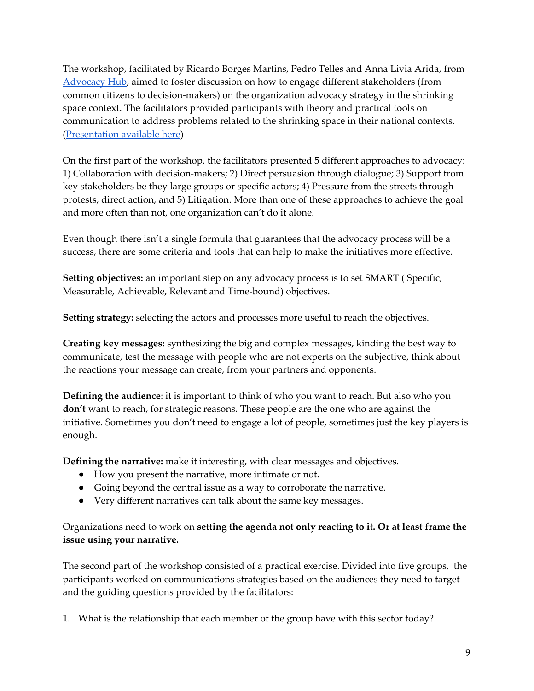The workshop, facilitated by Ricardo Borges Martins, Pedro Telles and Anna Livia Arida, from [Advocacy](http://www.advocacyhub.org/) Hub, aimed to foster discussion on how to engage different stakeholders (from common citizens to decision-makers) on the organization advocacy strategy in the shrinking space context. The facilitators provided participants with theory and practical tools on communication to address problems related to the shrinking space in their national contexts. ([Presentation](https://drive.google.com/file/d/1YbdRhWBdG8GonGmZyyR5ixvkhtYmf21W/view?usp=sharing) available here)

On the first part of the workshop, the facilitators presented 5 different approaches to advocacy: 1) Collaboration with decision-makers; 2) Direct persuasion through dialogue; 3) Support from key stakeholders be they large groups or specific actors; 4) Pressure from the streets through protests, direct action, and 5) Litigation. More than one of these approaches to achieve the goal and more often than not, one organization can't do it alone.

Even though there isn't a single formula that guarantees that the advocacy process will be a success, there are some criteria and tools that can help to make the initiatives more effective.

**Setting objectives:** an important step on any advocacy process is to set SMART ( Specific, Measurable, Achievable, Relevant and Time-bound) objectives.

**Setting strategy:** selecting the actors and processes more useful to reach the objectives.

**Creating key messages:** synthesizing the big and complex messages, kinding the best way to communicate, test the message with people who are not experts on the subjective, think about the reactions your message can create, from your partners and opponents.

**Defining the audience**: it is important to think of who you want to reach. But also who you **don't** want to reach, for strategic reasons. These people are the one who are against the initiative. Sometimes you don't need to engage a lot of people, sometimes just the key players is enough.

**Defining the narrative:** make it interesting, with clear messages and objectives.

- How you present the narrative, more intimate or not.
- Going beyond the central issue as a way to corroborate the narrative.
- Very different narratives can talk about the same key messages.

## Organizations need to work on **setting the agenda not only reacting to it. Or at least frame the issue using your narrative.**

The second part of the workshop consisted of a practical exercise. Divided into five groups, the participants worked on communications strategies based on the audiences they need to target and the guiding questions provided by the facilitators:

1. What is the relationship that each member of the group have with this sector today?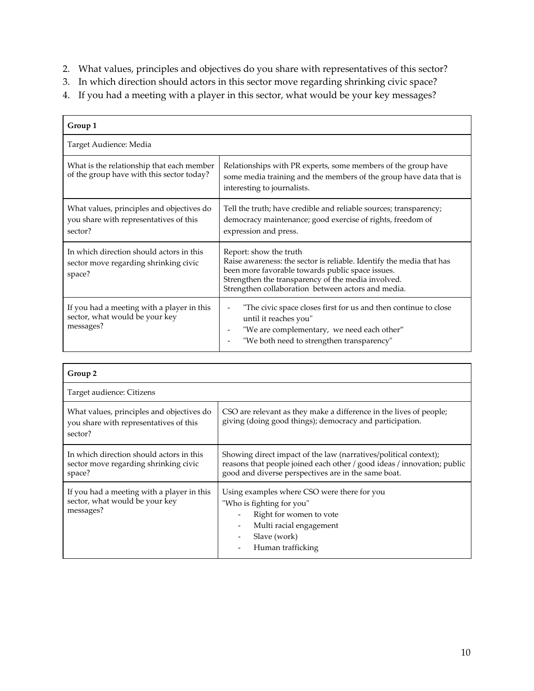- 2. What values, principles and objectives do you share with representatives of this sector?
- 3. In which direction should actors in this sector move regarding shrinking civic space?
- 4. If you had a meeting with a player in this sector, what would be your key messages?

| Group 1                                                                                        |                                                                                                                                                                                                                                                                |
|------------------------------------------------------------------------------------------------|----------------------------------------------------------------------------------------------------------------------------------------------------------------------------------------------------------------------------------------------------------------|
| Target Audience: Media                                                                         |                                                                                                                                                                                                                                                                |
| What is the relationship that each member<br>of the group have with this sector today?         | Relationships with PR experts, some members of the group have<br>some media training and the members of the group have data that is<br>interesting to journalists.                                                                                             |
| What values, principles and objectives do<br>you share with representatives of this<br>sector? | Tell the truth; have credible and reliable sources; transparency;<br>democracy maintenance; good exercise of rights, freedom of<br>expression and press.                                                                                                       |
| In which direction should actors in this<br>sector move regarding shrinking civic<br>space?    | Report: show the truth<br>Raise awareness: the sector is reliable. Identify the media that has<br>been more favorable towards public space issues.<br>Strengthen the transparency of the media involved.<br>Strengthen collaboration between actors and media. |
| If you had a meeting with a player in this<br>sector, what would be your key<br>messages?      | "The civic space closes first for us and then continue to close<br>until it reaches you"<br>"We are complementary, we need each other"<br>$\overline{\phantom{a}}$<br>"We both need to strengthen transparency"                                                |

| Group 2                                                                                        |                                                                                                                                                                                                    |
|------------------------------------------------------------------------------------------------|----------------------------------------------------------------------------------------------------------------------------------------------------------------------------------------------------|
| Target audience: Citizens                                                                      |                                                                                                                                                                                                    |
| What values, principles and objectives do<br>you share with representatives of this<br>sector? | CSO are relevant as they make a difference in the lives of people;<br>giving (doing good things); democracy and participation.                                                                     |
| In which direction should actors in this<br>sector move regarding shrinking civic<br>space?    | Showing direct impact of the law (narratives/political context);<br>reasons that people joined each other / good ideas / innovation; public<br>good and diverse perspectives are in the same boat. |
| If you had a meeting with a player in this<br>sector, what would be your key<br>messages?      | Using examples where CSO were there for you<br>"Who is fighting for you"<br>Right for women to vote<br>$\qquad \qquad -$<br>Multi racial engagement<br>Slave (work)<br>Human trafficking           |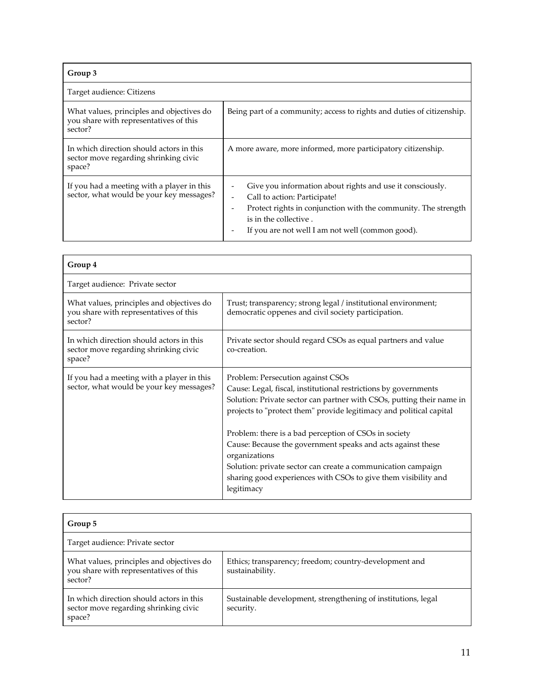| Group 3                                                                                        |                                                                                                                                                                                                                                                                      |
|------------------------------------------------------------------------------------------------|----------------------------------------------------------------------------------------------------------------------------------------------------------------------------------------------------------------------------------------------------------------------|
| Target audience: Citizens                                                                      |                                                                                                                                                                                                                                                                      |
| What values, principles and objectives do<br>you share with representatives of this<br>sector? | Being part of a community; access to rights and duties of citizenship.                                                                                                                                                                                               |
| In which direction should actors in this<br>sector move regarding shrinking civic<br>space?    | A more aware, more informed, more participatory citizenship.                                                                                                                                                                                                         |
| If you had a meeting with a player in this<br>sector, what would be your key messages?         | Give you information about rights and use it consciously.<br>Call to action: Participate!<br>$\overline{\phantom{0}}$<br>Protect rights in conjunction with the community. The strength<br>is in the collective.<br>If you are not well I am not well (common good). |

| Group 4                                                                                        |                                                                                                                                                                                                                                                                                                                                                                                                                                                                                                                                               |
|------------------------------------------------------------------------------------------------|-----------------------------------------------------------------------------------------------------------------------------------------------------------------------------------------------------------------------------------------------------------------------------------------------------------------------------------------------------------------------------------------------------------------------------------------------------------------------------------------------------------------------------------------------|
| Target audience: Private sector                                                                |                                                                                                                                                                                                                                                                                                                                                                                                                                                                                                                                               |
| What values, principles and objectives do<br>you share with representatives of this<br>sector? | Trust; transparency; strong legal / institutional environment;<br>democratic oppenes and civil society participation.                                                                                                                                                                                                                                                                                                                                                                                                                         |
| In which direction should actors in this<br>sector move regarding shrinking civic<br>space?    | Private sector should regard CSOs as equal partners and value<br>co-creation.                                                                                                                                                                                                                                                                                                                                                                                                                                                                 |
| If you had a meeting with a player in this<br>sector, what would be your key messages?         | Problem: Persecution against CSOs<br>Cause: Legal, fiscal, institutional restrictions by governments<br>Solution: Private sector can partner with CSOs, putting their name in<br>projects to "protect them" provide legitimacy and political capital<br>Problem: there is a bad perception of CSOs in society<br>Cause: Because the government speaks and acts against these<br>organizations<br>Solution: private sector can create a communication campaign<br>sharing good experiences with CSOs to give them visibility and<br>legitimacy |

| Group 5                                                                                        |                                                                            |  |
|------------------------------------------------------------------------------------------------|----------------------------------------------------------------------------|--|
| Target audience: Private sector                                                                |                                                                            |  |
| What values, principles and objectives do<br>you share with representatives of this<br>sector? | Ethics; transparency; freedom; country-development and<br>sustainability.  |  |
| In which direction should actors in this<br>sector move regarding shrinking civic<br>space?    | Sustainable development, strengthening of institutions, legal<br>security. |  |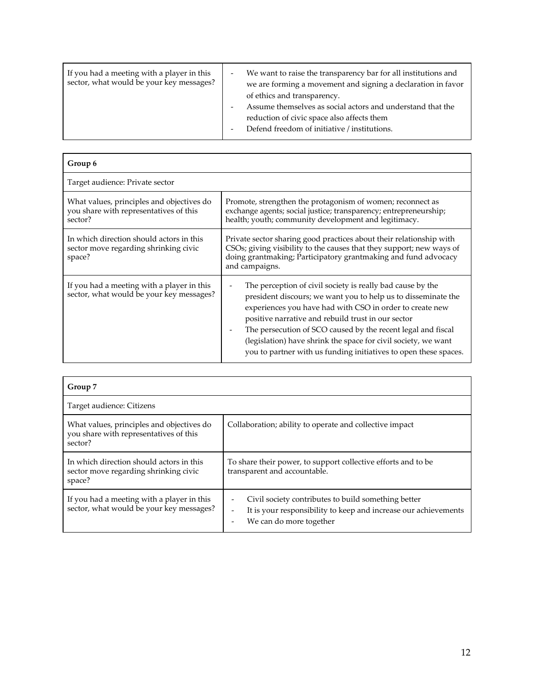| If you had a meeting with a player in this<br>sector, what would be your key messages? |  | We want to raise the transparency bar for all institutions and<br>we are forming a movement and signing a declaration in favor<br>of ethics and transparency.<br>Assume themselves as social actors and understand that the<br>reduction of civic space also affects them<br>Defend freedom of initiative / institutions. |
|----------------------------------------------------------------------------------------|--|---------------------------------------------------------------------------------------------------------------------------------------------------------------------------------------------------------------------------------------------------------------------------------------------------------------------------|
|----------------------------------------------------------------------------------------|--|---------------------------------------------------------------------------------------------------------------------------------------------------------------------------------------------------------------------------------------------------------------------------------------------------------------------------|

| Group 6                                                                                        |                                                                                                                                                                                                                                                                                                                                                                                                                                                     |
|------------------------------------------------------------------------------------------------|-----------------------------------------------------------------------------------------------------------------------------------------------------------------------------------------------------------------------------------------------------------------------------------------------------------------------------------------------------------------------------------------------------------------------------------------------------|
| Target audience: Private sector                                                                |                                                                                                                                                                                                                                                                                                                                                                                                                                                     |
| What values, principles and objectives do<br>you share with representatives of this<br>sector? | Promote, strengthen the protagonism of women; reconnect as<br>exchange agents; social justice; transparency; entrepreneurship;<br>health; youth; community development and legitimacy.                                                                                                                                                                                                                                                              |
| In which direction should actors in this<br>sector move regarding shrinking civic<br>space?    | Private sector sharing good practices about their relationship with<br>CSOs; giving visibility to the causes that they support; new ways of<br>doing grantmaking; Participatory grantmaking and fund advocacy<br>and campaigns.                                                                                                                                                                                                                     |
| If you had a meeting with a player in this<br>sector, what would be your key messages?         | The perception of civil society is really bad cause by the<br>president discours; we want you to help us to disseminate the<br>experiences you have had with CSO in order to create new<br>positive narrative and rebuild trust in our sector<br>The persecution of SCO caused by the recent legal and fiscal<br>(legislation) have shrink the space for civil society, we want<br>you to partner with us funding initiatives to open these spaces. |

| Group 7                                                                                        |                                                                                                                                                                               |
|------------------------------------------------------------------------------------------------|-------------------------------------------------------------------------------------------------------------------------------------------------------------------------------|
| Target audience: Citizens                                                                      |                                                                                                                                                                               |
| What values, principles and objectives do<br>you share with representatives of this<br>sector? | Collaboration; ability to operate and collective impact                                                                                                                       |
| In which direction should actors in this<br>sector move regarding shrinking civic<br>space?    | To share their power, to support collective efforts and to be<br>transparent and accountable.                                                                                 |
| If you had a meeting with a player in this<br>sector, what would be your key messages?         | Civil society contributes to build something better<br>It is your responsibility to keep and increase our achievements<br>$\overline{\phantom{a}}$<br>We can do more together |